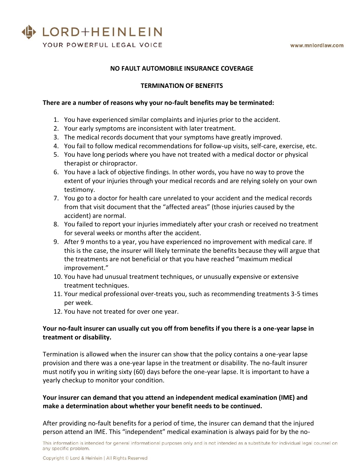

### **NO FAULT AUTOMOBILE INSURANCE COVERAGE**

#### **TERMINATION OF BENEFITS**

#### **There are a number of reasons why your no-fault benefits may be terminated:**

- 1. You have experienced similar complaints and injuries prior to the accident.
- 2. Your early symptoms are inconsistent with later treatment.
- 3. The medical records document that your symptoms have greatly improved.
- 4. You fail to follow medical recommendations for follow-up visits, self-care, exercise, etc.
- 5. You have long periods where you have not treated with a medical doctor or physical therapist or chiropractor.
- 6. You have a lack of objective findings. In other words, you have no way to prove the extent of your injuries through your medical records and are relying solely on your own testimony.
- 7. You go to a doctor for health care unrelated to your accident and the medical records from that visit document that the "affected areas" (those injuries caused by the accident) are normal.
- 8. You failed to report your injuries immediately after your crash or received no treatment for several weeks or months after the accident.
- 9. After 9 months to a year, you have experienced no improvement with medical care. If this is the case, the insurer will likely terminate the benefits because they will argue that the treatments are not beneficial or that you have reached "maximum medical improvement."
- 10. You have had unusual treatment techniques, or unusually expensive or extensive treatment techniques.
- 11. Your medical professional over-treats you, such as recommending treatments 3-5 times per week.
- 12. You have not treated for over one year.

## **Your no-fault insurer can usually cut you off from benefits if you there is a one-year lapse in treatment or disability.**

Termination is allowed when the insurer can show that the policy contains a one-year lapse provision and there was a one-year lapse in the treatment or disability. The no-fault insurer must notify you in writing sixty (60) days before the one-year lapse. It is important to have a yearly checkup to monitor your condition.

# **Your insurer can demand that you attend an independent medical examination (IME) and make a determination about whether your benefit needs to be continued.**

After providing no-fault benefits for a period of time, the insurer can demand that the injured person attend an IME. This "independent" medical examination is always paid for by the no-